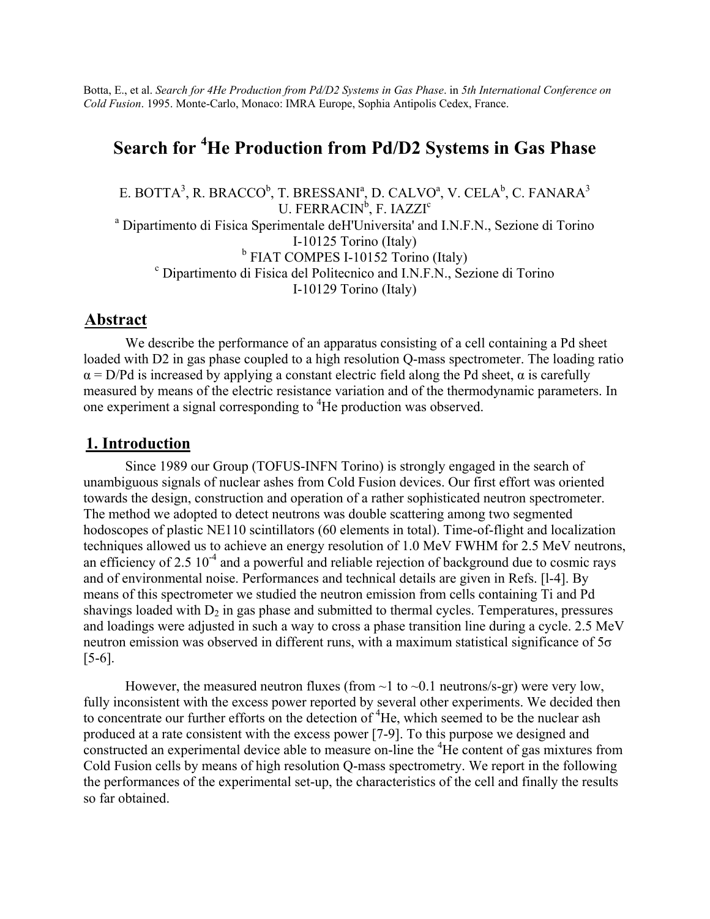Botta, E., et al. *Search for 4He Production from Pd/D2 Systems in Gas Phase*. in *5th International Conference on Cold Fusion*. 1995. Monte-Carlo, Monaco: IMRA Europe, Sophia Antipolis Cedex, France.

# **Search for <sup>4</sup> He Production from Pd/D2 Systems in Gas Phase**

E. BOTTA $^3$ , R. BRACCO $^{\rm b}$ , T. BRESSANI $^{\rm a}$ , D. CALVO $^{\rm a}$ , V. CELA $^{\rm b}$ , C. FANARA $^{\rm 3}$ U. FERRACIN<sup>b</sup>, F. IAZZI<sup>c</sup> <sup>a</sup> Dipartimento di Fisica Sperimentale deH'Universita' and I.N.F.N., Sezione di Torino I-10125 Torino (Italy)  $b$  FIAT COMPES I-10152 Torino (Italy) Dipartimento di Fisica del Politecnico and I.N.F.N., Sezione di Torino I-10129 Torino (Italy)

### **Abstract**

We describe the performance of an apparatus consisting of a cell containing a Pd sheet loaded with D2 in gas phase coupled to a high resolution Q-mass spectrometer. The loading ratio  $\alpha$  = D/Pd is increased by applying a constant electric field along the Pd sheet,  $\alpha$  is carefully measured by means of the electric resistance variation and of the thermodynamic parameters. In one experiment a signal corresponding to <sup>4</sup>He production was observed.

# **1. Introduction**

Since 1989 our Group (TOFUS-INFN Torino) is strongly engaged in the search of unambiguous signals of nuclear ashes from Cold Fusion devices. Our first effort was oriented towards the design, construction and operation of a rather sophisticated neutron spectrometer. The method we adopted to detect neutrons was double scattering among two segmented hodoscopes of plastic NE110 scintillators (60 elements in total). Time-of-flight and localization techniques allowed us to achieve an energy resolution of 1.0 MeV FWHM for 2.5 MeV neutrons, an efficiency of  $2.5 \times 10^{-4}$  and a powerful and reliable rejection of background due to cosmic rays and of environmental noise. Performances and technical details are given in Refs. [l-4]. By means of this spectrometer we studied the neutron emission from cells containing Ti and Pd shavings loaded with  $D_2$  in gas phase and submitted to thermal cycles. Temperatures, pressures and loadings were adjusted in such a way to cross a phase transition line during a cycle. 2.5 MeV neutron emission was observed in different runs, with a maximum statistical significance of 5σ [5-6].

However, the measured neutron fluxes (from  $\sim$  1 to  $\sim$  0.1 neutrons/s-gr) were very low, fully inconsistent with the excess power reported by several other experiments. We decided then to concentrate our further efforts on the detection of <sup>4</sup>He, which seemed to be the nuclear ash produced at a rate consistent with the excess power [7-9]. To this purpose we designed and constructed an experimental device able to measure on-line the <sup>4</sup>He content of gas mixtures from Cold Fusion cells by means of high resolution Q-mass spectrometry. We report in the following the performances of the experimental set-up, the characteristics of the cell and finally the results so far obtained.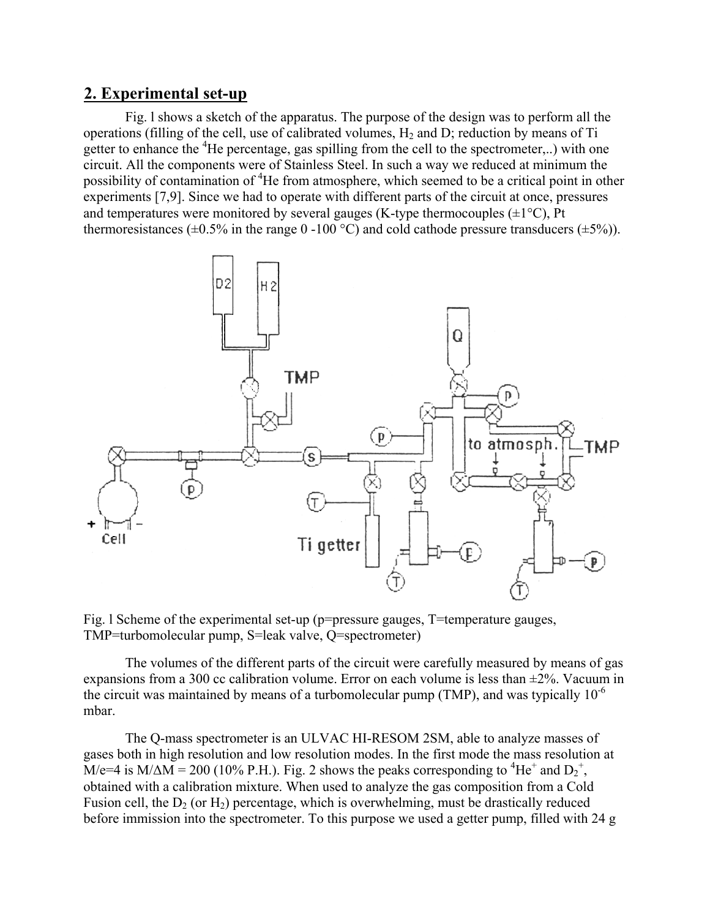# **2. Experimental set-up**

Fig. l shows a sketch of the apparatus. The purpose of the design was to perform all the operations (filling of the cell, use of calibrated volumes,  $H_2$  and D; reduction by means of Ti getter to enhance the <sup>4</sup>He percentage, gas spilling from the cell to the spectrometer,..) with one circuit. All the components were of Stainless Steel. In such a way we reduced at minimum the possibility of contamination of <sup>4</sup>He from atmosphere, which seemed to be a critical point in other experiments [7,9]. Since we had to operate with different parts of the circuit at once, pressures and temperatures were monitored by several gauges (K-type thermocouples  $(\pm 1^{\circ}C)$ , Pt thermoresistances ( $\pm 0.5\%$  in the range 0 -100 °C) and cold cathode pressure transducers ( $\pm 5\%$ )).



Fig. l Scheme of the experimental set-up (p=pressure gauges, T=temperature gauges, TMP=turbomolecular pump, S=leak valve, Q=spectrometer)

The volumes of the different parts of the circuit were carefully measured by means of gas expansions from a 300 cc calibration volume. Error on each volume is less than ±2%. Vacuum in the circuit was maintained by means of a turbomolecular pump (TMP), and was typically  $10^{-6}$ mbar.

The Q-mass spectrometer is an ULVAC HI-RESOM 2SM, able to analyze masses of gases both in high resolution and low resolution modes. In the first mode the mass resolution at  $\dot{M}/e=4$  is  $M/\Delta M = 200$  (10% P.H.). Fig. 2 shows the peaks corresponding to <sup>4</sup>He<sup>+</sup> and D<sub>2</sub><sup>+</sup>, obtained with a calibration mixture. When used to analyze the gas composition from a Cold Fusion cell, the  $D_2$  (or  $H_2$ ) percentage, which is overwhelming, must be drastically reduced before immission into the spectrometer. To this purpose we used a getter pump, filled with 24 g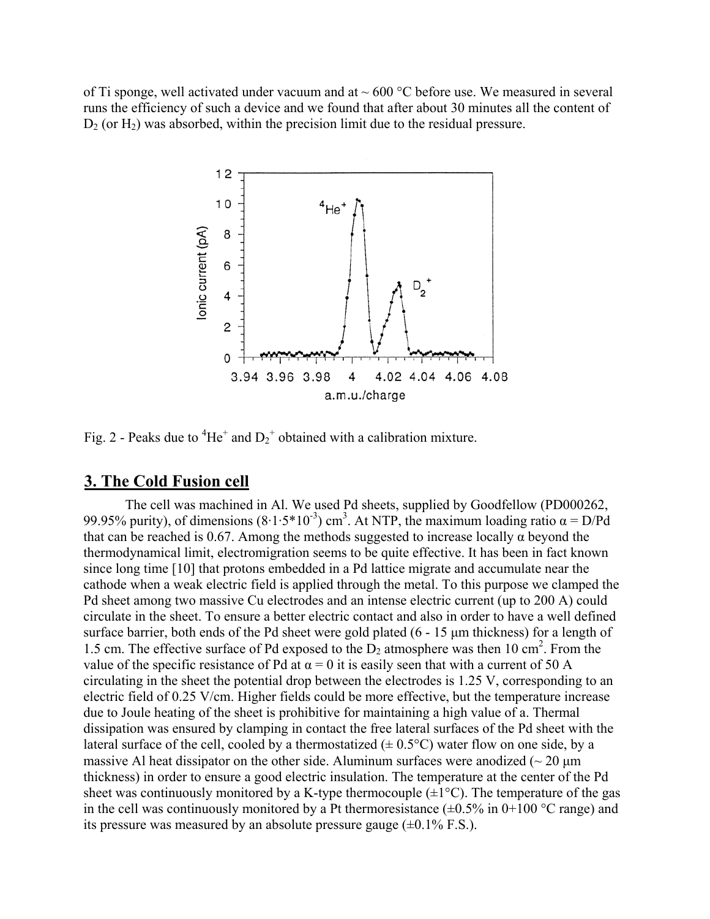of Ti sponge, well activated under vacuum and at  $\sim 600$  °C before use. We measured in several runs the efficiency of such a device and we found that after about 30 minutes all the content of  $D_2$  (or  $H_2$ ) was absorbed, within the precision limit due to the residual pressure.



Fig. 2 - Peaks due to <sup>4</sup>He<sup>+</sup> and  $D_2$ <sup>+</sup> obtained with a calibration mixture.

# **3. The Cold Fusion cell**

The cell was machined in Al. We used Pd sheets, supplied by Goodfellow (PD000262, 99.95% purity), of dimensions  $(8.1.5*10^{-3})$  cm<sup>3</sup>. At NTP, the maximum loading ratio  $\alpha = D/Pd$ that can be reached is 0.67. Among the methods suggested to increase locally  $\alpha$  beyond the thermodynamical limit, electromigration seems to be quite effective. It has been in fact known since long time [10] that protons embedded in a Pd lattice migrate and accumulate near the cathode when a weak electric field is applied through the metal. To this purpose we clamped the Pd sheet among two massive Cu electrodes and an intense electric current (up to 200 A) could circulate in the sheet. To ensure a better electric contact and also in order to have a well defined surface barrier, both ends of the Pd sheet were gold plated (6 - 15 µm thickness) for a length of 1.5 cm. The effective surface of Pd exposed to the  $D_2$  atmosphere was then 10 cm<sup>2</sup>. From the value of the specific resistance of Pd at  $\alpha = 0$  it is easily seen that with a current of 50 A circulating in the sheet the potential drop between the electrodes is 1.25 V, corresponding to an electric field of 0.25 V/cm. Higher fields could be more effective, but the temperature increase due to Joule heating of the sheet is prohibitive for maintaining a high value of a. Thermal dissipation was ensured by clamping in contact the free lateral surfaces of the Pd sheet with the lateral surface of the cell, cooled by a thermostatized  $(\pm 0.5^{\circ}C)$  water flow on one side, by a massive Al heat dissipator on the other side. Aluminum surfaces were anodized  $\sim 20 \text{ µm}$ thickness) in order to ensure a good electric insulation. The temperature at the center of the Pd sheet was continuously monitored by a K-type thermocouple  $(\pm 1^{\circ}C)$ . The temperature of the gas in the cell was continuously monitored by a Pt thermoresistance  $(\pm 0.5\%$  in 0+100 °C range) and its pressure was measured by an absolute pressure gauge  $(\pm 0.1\%$  F.S.).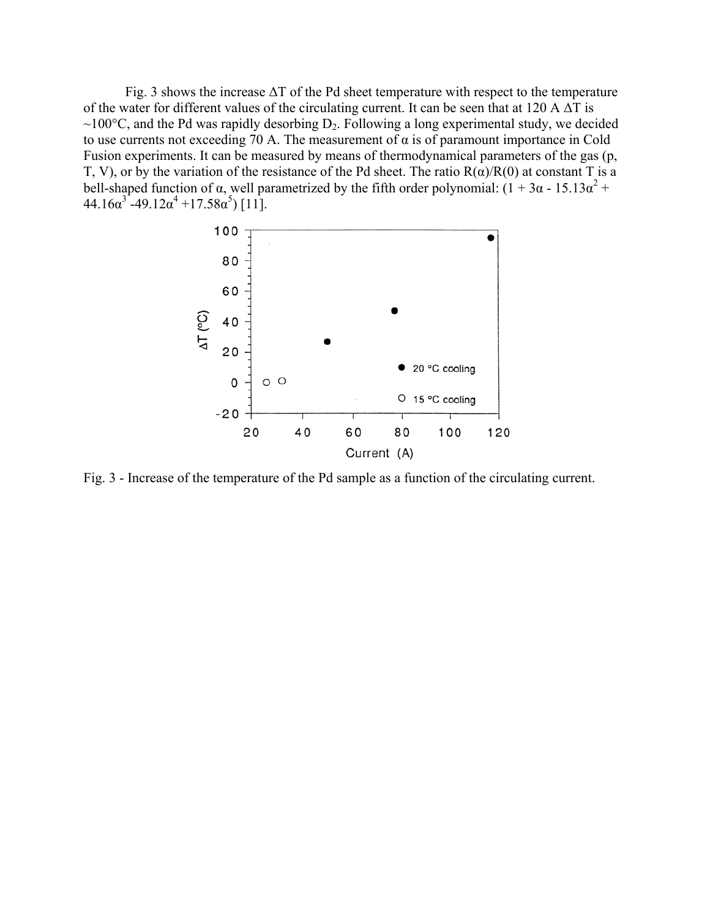Fig. 3 shows the increase ∆Τ of the Pd sheet temperature with respect to the temperature of the water for different values of the circulating current. It can be seen that at 120 A  $\Delta T$  is  $\sim$ 100 $^{\circ}$ C, and the Pd was rapidly desorbing D<sub>2</sub>. Following a long experimental study, we decided to use currents not exceeding 70 A. The measurement of  $\alpha$  is of paramount importance in Cold Fusion experiments. It can be measured by means of thermodynamical parameters of the gas (p, Τ, V), or by the variation of the resistance of the Pd sheet. The ratio R(α)/R(0) at constant Τ is a bell-shaped function of  $\alpha$ , well parametrized by the fifth order polynomial:  $(1 + 3\alpha - 15.13\alpha^2 +$  $44.16\alpha^3 - 49.12\alpha^4 + 17.58\alpha^5$  [11].



Fig. 3 - Increase of the temperature of the Pd sample as a function of the circulating current.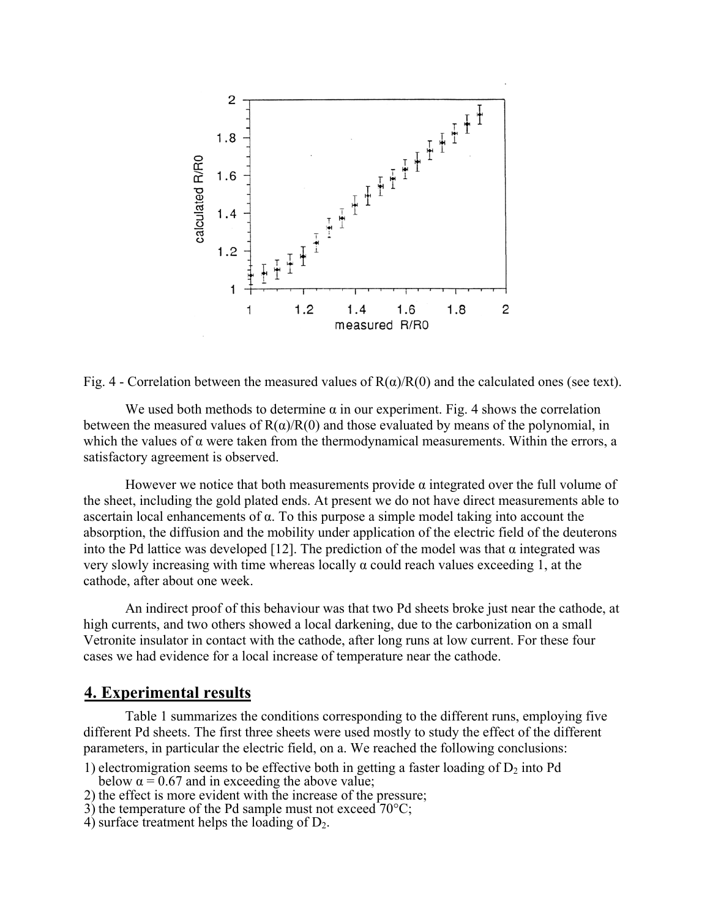

Fig. 4 - Correlation between the measured values of  $R(\alpha)/R(0)$  and the calculated ones (see text).

We used both methods to determine  $\alpha$  in our experiment. Fig. 4 shows the correlation between the measured values of  $R(\alpha)/R(0)$  and those evaluated by means of the polynomial, in which the values of  $\alpha$  were taken from the thermodynamical measurements. Within the errors, a satisfactory agreement is observed.

However we notice that both measurements provide  $\alpha$  integrated over the full volume of the sheet, including the gold plated ends. At present we do not have direct measurements able to ascertain local enhancements of α. To this purpose a simple model taking into account the absorption, the diffusion and the mobility under application of the electric field of the deuterons into the Pd lattice was developed [12]. The prediction of the model was that  $\alpha$  integrated was very slowly increasing with time whereas locally α could reach values exceeding 1, at the cathode, after about one week.

An indirect proof of this behaviour was that two Pd sheets broke just near the cathode, at high currents, and two others showed a local darkening, due to the carbonization on a small Vetronite insulator in contact with the cathode, after long runs at low current. For these four cases we had evidence for a local increase of temperature near the cathode.

### **4. Experimental results**

Table 1 summarizes the conditions corresponding to the different runs, employing five different Pd sheets. The first three sheets were used mostly to study the effect of the different parameters, in particular the electric field, on a. We reached the following conclusions:

- 1) electromigration seems to be effective both in getting a faster loading of  $D_2$  into Pd below  $\alpha = 0.67$  and in exceeding the above value;
- 2) the effect is more evident with the increase of the pressure;
- $3$ ) the temperature of the Pd sample must not exceed  $70^{\circ}$ C;
- 4) surface treatment helps the loading of  $D_2$ .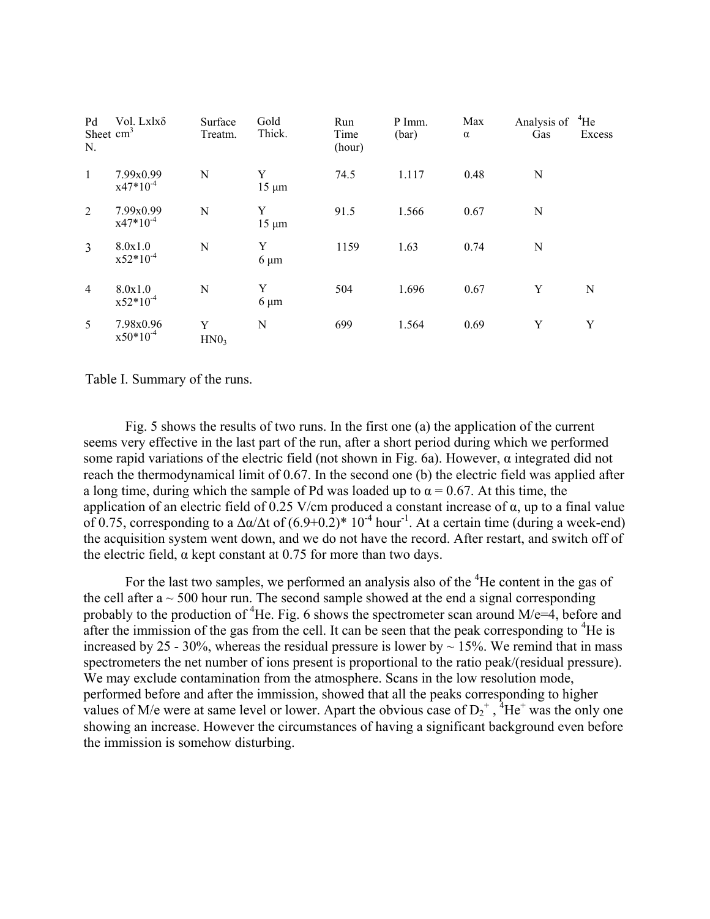| Pd<br>Sheet $cm3$<br>N. | Vol. Lxlxδ                 | Surface<br>Treatm.    | Gold<br>Thick.  | Run<br>Time<br>(hour) | P Imm.<br>(bar) | Max<br>$\alpha$ | Analysis of<br>Gas | $^{4}$ He<br>Excess |
|-------------------------|----------------------------|-----------------------|-----------------|-----------------------|-----------------|-----------------|--------------------|---------------------|
| $\mathbf{1}$            | 7.99x0.99<br>$x47*10^{-4}$ | N                     | Y<br>$15 \mu m$ | 74.5                  | 1.117           | 0.48            | $\mathbf N$        |                     |
| 2                       | 7.99x0.99<br>$x47*10^{-4}$ | N                     | Y<br>$15 \mu m$ | 91.5                  | 1.566           | 0.67            | N                  |                     |
| $\overline{3}$          | 8.0x1.0<br>$x52*10^{-4}$   | N                     | Y<br>$6 \mu m$  | 1159                  | 1.63            | 0.74            | N                  |                     |
| $\overline{4}$          | 8.0x1.0<br>$x52*10^{-4}$   | N                     | Y<br>$6 \mu m$  | 504                   | 1.696           | 0.67            | Y                  | N                   |
| 5                       | 7.98x0.96<br>$x50*10^{-4}$ | Y<br>HNO <sub>3</sub> | N               | 699                   | 1.564           | 0.69            | Y                  | Y                   |

Table I. Summary of the runs.

Fig. 5 shows the results of two runs. In the first one (a) the application of the current seems very effective in the last part of the run, after a short period during which we performed some rapid variations of the electric field (not shown in Fig. 6a). However,  $\alpha$  integrated did not reach the thermodynamical limit of 0.67. In the second one (b) the electric field was applied after a long time, during which the sample of Pd was loaded up to  $\alpha = 0.67$ . At this time, the application of an electric field of 0.25 V/cm produced a constant increase of α, up to a final value of 0.75, corresponding to a  $\Delta \alpha / \Delta t$  of  $(6.9+0.2)^* 10^{-4}$  hour<sup>-1</sup>. At a certain time (during a week-end) the acquisition system went down, and we do not have the record. After restart, and switch off of the electric field,  $\alpha$  kept constant at 0.75 for more than two days.

For the last two samples, we performed an analysis also of the <sup>4</sup>He content in the gas of the cell after  $a \sim 500$  hour run. The second sample showed at the end a signal corresponding probably to the production of <sup>4</sup>He. Fig. 6 shows the spectrometer scan around  $M/e=4$ , before and after the immission of the gas from the cell. It can be seen that the peak corresponding to  ${}^{4}$ He is increased by 25 - 30%, whereas the residual pressure is lower by  $\sim 15$ %. We remind that in mass spectrometers the net number of ions present is proportional to the ratio peak/(residual pressure). We may exclude contamination from the atmosphere. Scans in the low resolution mode, performed before and after the immission, showed that all the peaks corresponding to higher values of M/e were at same level or lower. Apart the obvious case of  $D_2^+$ , <sup>4</sup>He<sup>+</sup> was the only one showing an increase. However the circumstances of having a significant background even before the immission is somehow disturbing.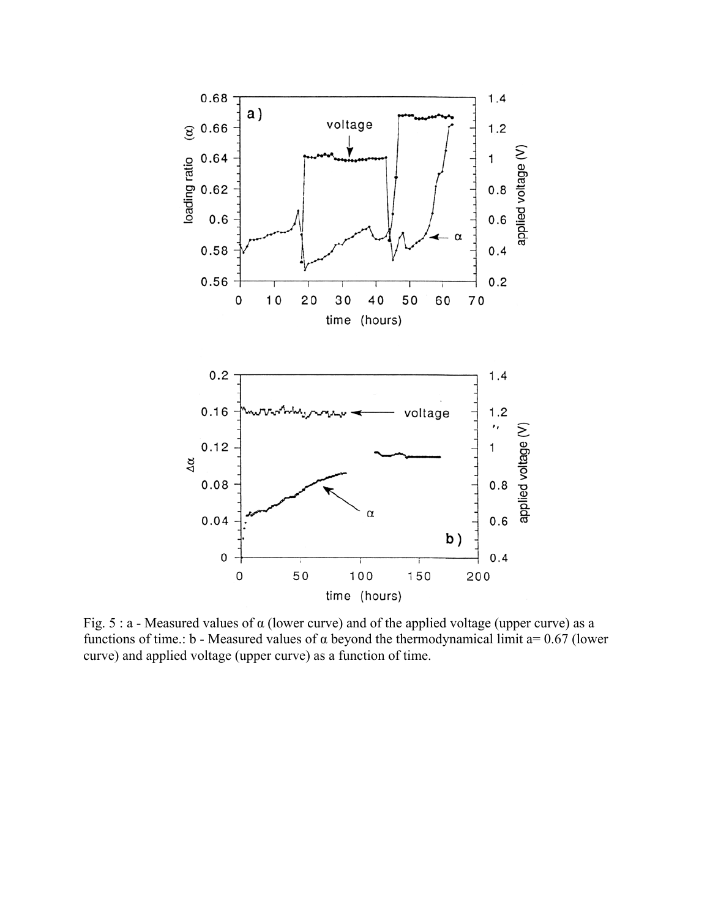

Fig. 5 : a - Measured values of  $\alpha$  (lower curve) and of the applied voltage (upper curve) as a functions of time.: b - Measured values of α beyond the thermodynamical limit a= 0.67 (lower curve) and applied voltage (upper curve) as a function of time.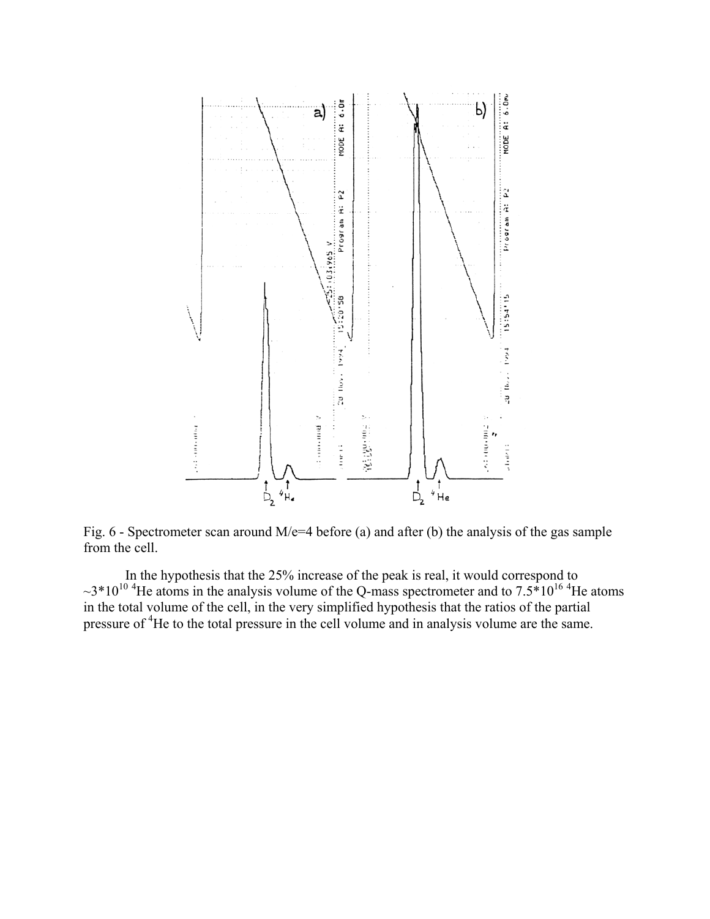

Fig. 6 - Spectrometer scan around M/e=4 before (a) and after (b) the analysis of the gas sample from the cell.

In the hypothesis that the 25% increase of the peak is real, it would correspond to  $\sim$ 3\*10<sup>10 4</sup>He atoms in the analysis volume of the Q-mass spectrometer and to 7.5\*10<sup>16 4</sup>He atoms in the total volume of the cell, in the very simplified hypothesis that the ratios of the partial pressure of <sup>4</sup>He to the total pressure in the cell volume and in analysis volume are the same.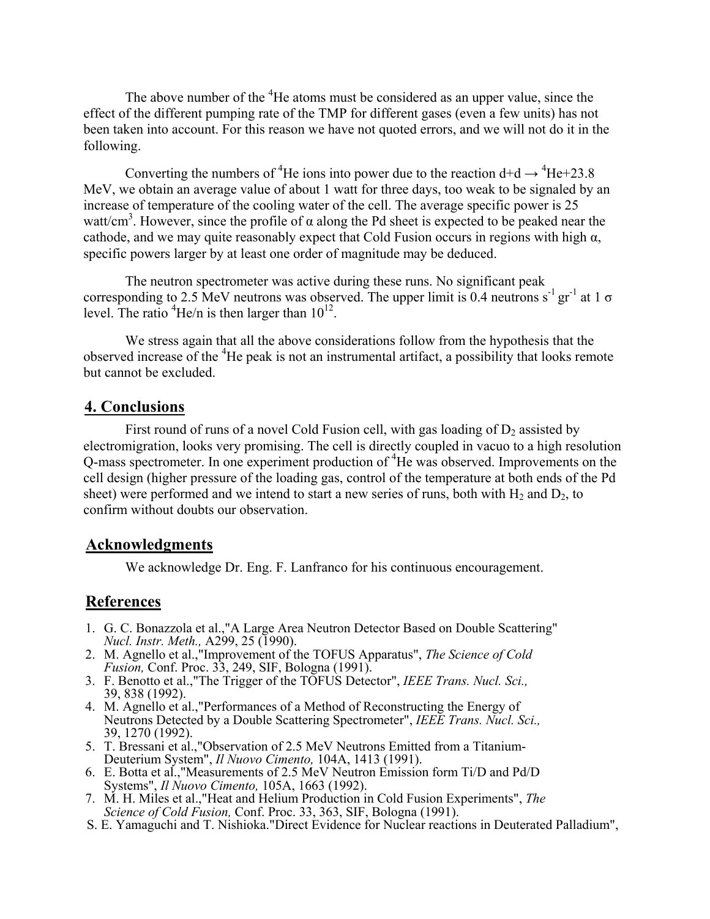The above number of the <sup>4</sup>He atoms must be considered as an upper value, since the effect of the different pumping rate of the TMP for different gases (even a few units) has not been taken into account. For this reason we have not quoted errors, and we will not do it in the following.

Converting the numbers of <sup>4</sup>He ions into power due to the reaction  $d+d \rightarrow 4He+23.8$ MeV, we obtain an average value of about 1 watt for three days, too weak to be signaled by an increase of temperature of the cooling water of the cell. The average specific power is 25 watt/cm<sup>3</sup>. However, since the profile of  $\alpha$  along the Pd sheet is expected to be peaked near the cathode, and we may quite reasonably expect that Cold Fusion occurs in regions with high  $\alpha$ , specific powers larger by at least one order of magnitude may be deduced.

The neutron spectrometer was active during these runs. No significant peak corresponding to 2.5 MeV neutrons was observed. The upper limit is 0.4 neutrons s<sup>-1</sup> gr<sup>-1</sup> at 1  $\sigma$ level. The ratio  ${}^{4}$ He/n is then larger than  $10^{12}$ .

We stress again that all the above considerations follow from the hypothesis that the observed increase of the <sup>4</sup>He peak is not an instrumental artifact, a possibility that looks remote but cannot be excluded.

### **4. Conclusions**

First round of runs of a novel Cold Fusion cell, with gas loading of  $D_2$  assisted by electromigration, looks very promising. The cell is directly coupled in vacuo to a high resolution Q-mass spectrometer. In one experiment production of <sup>4</sup>He was observed. Improvements on the cell design (higher pressure of the loading gas, control of the temperature at both ends of the Pd sheet) were performed and we intend to start a new series of runs, both with  $H_2$  and  $D_2$ , to confirm without doubts our observation.

# **Acknowledgments**

We acknowledge Dr. Eng. F. Lanfranco for his continuous encouragement.

### **References**

- 1. G. C. Bonazzola et al.,"A Large Area Neutron Detector Based on Double Scattering" *Nucl. Instr. Meth.,* A299, 25 (1990).
- 2. M. Agnello et al.,"Improvement of the TOFUS Apparatus", *The Science of Cold Fusion,* Conf. Proc. 33, 249, SIF, Bologna (1991).
- 3. F. Benotto et al.,"The Trigger of the TOFUS Detector", *IEEE Trans. Nucl. Sci.,*  39, 838 (1992).
- 4. M. Agnello et al.,"Performances of a Method of Reconstructing the Energy of Neutrons Detected by a Double Scattering Spectrometer", *IEEE Trans. Nucl. Sci.,*  39, 1270 (1992).
- 5. T. Bressani et al.,"Observation of 2.5 MeV Neutrons Emitted from a Titanium-Deuterium System", *Il Nuovo Cimento,* 104A, 1413 (1991).
- 6. E. Botta et al.,"Measurements of 2.5 MeV Neutron Emission form Ti/D and Pd/D Systems", *Il Nuovo Cimento,* 105A, 1663 (1992).
- 7. M. H. Miles et al.,"Heat and Helium Production in Cold Fusion Experiments", *The Science of Cold Fusion,* Conf. Proc. 33, 363, SIF, Bologna (1991).
- S. E. Yamaguchi and T. Nishioka."Direct Evidence for Nuclear reactions in Deuterated Palladium",